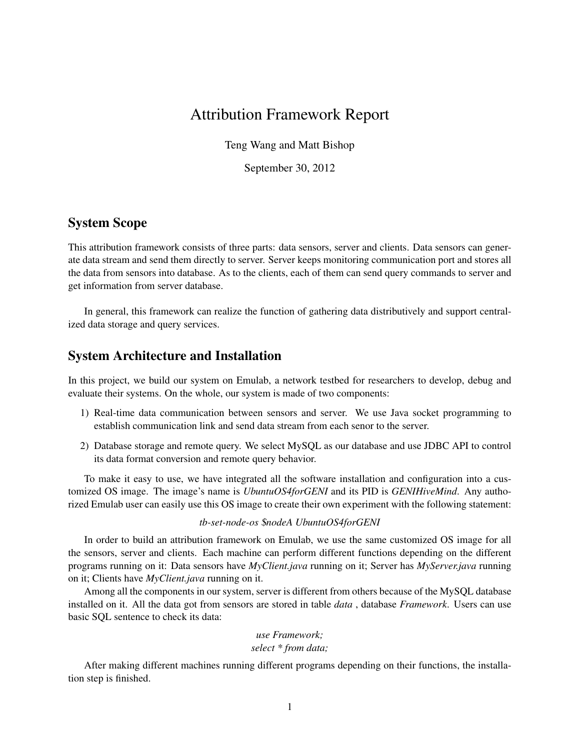# Attribution Framework Report

Teng Wang and Matt Bishop

September 30, 2012

# System Scope

This attribution framework consists of three parts: data sensors, server and clients. Data sensors can generate data stream and send them directly to server. Server keeps monitoring communication port and stores all the data from sensors into database. As to the clients, each of them can send query commands to server and get information from server database.

In general, this framework can realize the function of gathering data distributively and support centralized data storage and query services.

# System Architecture and Installation

In this project, we build our system on Emulab, a network testbed for researchers to develop, debug and evaluate their systems. On the whole, our system is made of two components:

- 1) Real-time data communication between sensors and server. We use Java socket programming to establish communication link and send data stream from each senor to the server.
- 2) Database storage and remote query. We select MySQL as our database and use JDBC API to control its data format conversion and remote query behavior.

To make it easy to use, we have integrated all the software installation and configuration into a customized OS image. The image's name is *UbuntuOS4forGENI* and its PID is *GENIHiveMind*. Any authorized Emulab user can easily use this OS image to create their own experiment with the following statement:

#### *tb-set-node-os* \$*nodeA UbuntuOS4forGENI*

In order to build an attribution framework on Emulab, we use the same customized OS image for all the sensors, server and clients. Each machine can perform different functions depending on the different programs running on it: Data sensors have *MyClient.java* running on it; Server has *MyServer.java* running on it; Clients have *MyClient.java* running on it.

Among all the components in our system, server is different from others because of the MySQL database installed on it. All the data got from sensors are stored in table *data* , database *Framework*. Users can use basic SQL sentence to check its data:

#### *use Framework; select \* from data;*

After making different machines running different programs depending on their functions, the installation step is finished.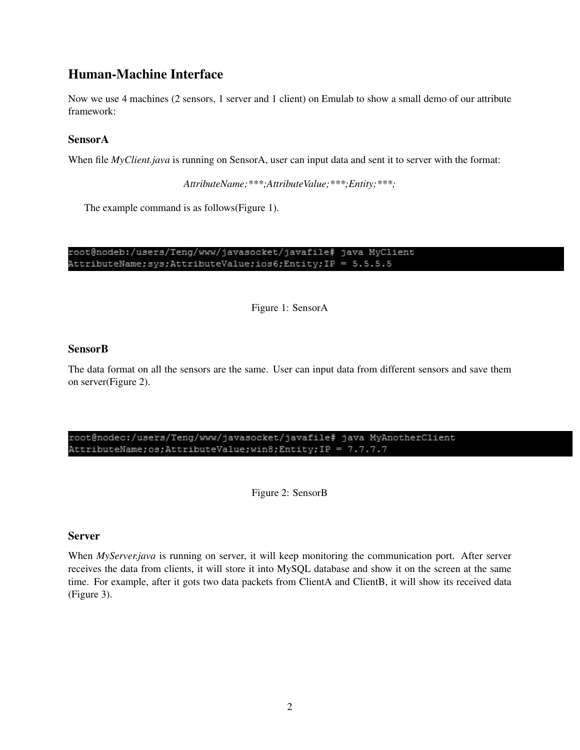# Human-Machine Interface

Now we use 4 machines (2 sensors, 1 server and 1 client) on Emulab to show a small demo of our attribute framework:

## SensorA

When file *MyClient.java* is running on SensorA, user can input data and sent it to server with the format:

*AttributeName;\*\*\*;AttributeValue;\*\*\*;Entity;\*\*\*;*

The example command is as follows(Figure 1).

root@nodeb:/users/Teng/www/javasocket/javafile# java MyClient AttributeName; sys; AttributeValue; ios6; Entity; IP = 5.5.5.5

Figure 1: SensorA

## SensorB

The data format on all the sensors are the same. User can input data from different sensors and save them on server(Figure 2).

#### root@nodec:/users/Teng/www/javasocket/javafile# java MyAnotherClient AttributeName; os; AttributeValue; win8; Entity; IP = 7.7.7.7

Figure 2: SensorB

## Server

When *MyServer.java* is running on server, it will keep monitoring the communication port. After server receives the data from clients, it will store it into MySQL database and show it on the screen at the same time. For example, after it gots two data packets from ClientA and ClientB, it will show its received data (Figure 3).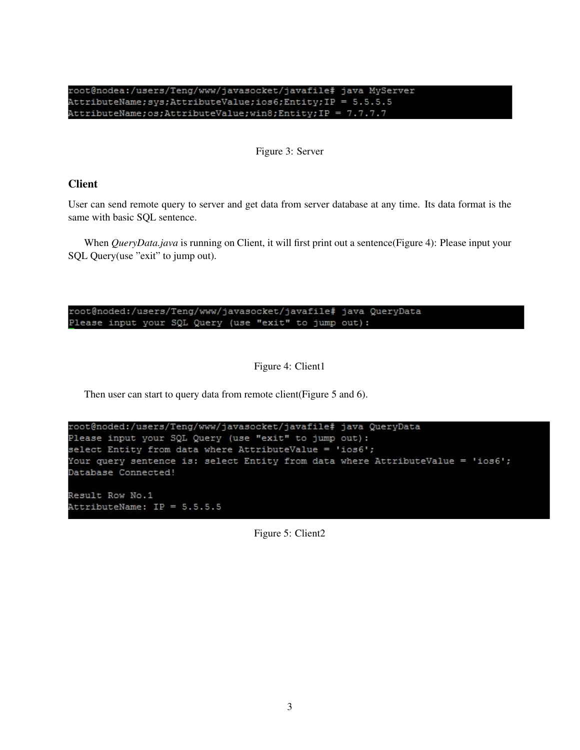root@nodea:/users/Teng/www/javasocket/javafile# java MyServer AttributeName; sys; AttributeValue; ios6; Entity; IP = 5.5.5.5 AttributeName; os; AttributeValue; win8; Entity; IP = 7.7.7.7

Figure 3: Server

## **Client**

User can send remote query to server and get data from server database at any time. Its data format is the same with basic SQL sentence.

When *QueryData.java* is running on Client, it will first print out a sentence(Figure 4): Please input your SQL Query(use "exit" to jump out).

root@noded:/users/Teng/www/javasocket/javafile# java QueryData Please input your SQL Query (use "exit" to jump out):

Figure 4: Client1

Then user can start to query data from remote client (Figure 5 and 6).

```
root@noded:/users/Teng/www/javasocket/javafile# java QueryData
Please input your SQL Query (use "exit" to jump out) :
select Entity from data where AttributeValue = 'ios6';
Your query sentence is: select Entity from data where AttributeValue = 'ios6';
Database Connected!
```
Result Row No.1 AttributeName: IP = 5.5.5.5

Figure 5: Client2